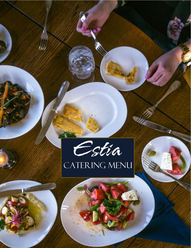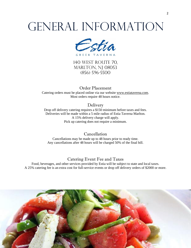# GENERAL INFORMATION



140 WEST ROUTE 70, MARLTON, NJ 08053 (856) 596-5500

Order Placement Catering orders must be placed online via our website [www.estiataverna.com.](http://www.estiataverna.com/) Most orders require 48 hours notice.

Delivery

 Drop off delivery catering requires a \$150 minimum before taxes and fees. Pick up catering does not require a minimum. Deliveries will be made within a 5 mile radius of Estia Taverna Marlton. A 15% delivery charge will apply.

#### Cancellation

Cancellations may be made up to 48 hours prior to ready time. Any cancellations after 48 hours will be charged 50% of the final bill.

#### Catering Event Fee and Taxes

 Food, beverages, and other services provided by Estia will be subject to state and local taxes. A 25% catering fee is an extra cost for full-service events or drop off delivery orders of \$2000 or more.

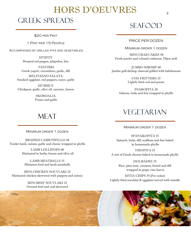### HORS D'OEUVRES Greek Spreads

\$20 per Pint

1 Pint per 15 People

Accompanied by grilled pita and vegetables

HTIPITI Roasted red pepper, jalapeños, feta

TZATZIKI Greek yogurt, cucumbers, garlic, dill

 MELITZANO SALATA Smoked eggplant, red peppers, mayo, garlic

 Chickpeas, garlic, olive oil, cayenne, lemon SKORDALIA HUMMUS

Potato and garlic

### **MEAT**

Minimum order 1 dozen

BRAISED LAMB PHYLLO 40 Tender lamb, onions, garlic and cheese wrapped in phyllo

> LAMB LOLLIPOPS 60 Marinated in herbs, lemon and olive oil

 Miniature beef and lamb meatballs LAMB MEATBALLS 15

 Marinated chicken skewered with peppers and onions MINI CHICKEN SOUVLAKI 25

> Ground beef and veal skewered MINI BEEF SOUVLAKI 25

### **SEAFOOD**

PRICE PER DOZEN

MINIMUM ORDER 1 DOZEN

 Fresh jumbo and colossal crabmeat, Dijon aioli MINI CRAB CAKES 50

 Jumbo gulf shrimp charcoal grilled with ladolemono JUMBO SHRIMP 60

> COD FRITTERS 25 Lightly fried cod and potato

PSAROPITA 30 Salmon, leeks and feta wrapped in phyllo

### VEGETARIAN

Minimum order 1 dozen

SPANAKOPITA 15 Spinach, leeks, dill, scallions and feta baked in housemade phyllo

 A trio of Greek cheeses baked in housemade phyllo TIROPITA 15

> DOLMADES 35 Rice, pine nuts, currants, fennel and dill wrapped in grape vine leaves

 Lightly fried zucchini & eggplant served with tzatziki ESTIA CHIPS 19 (Per order)

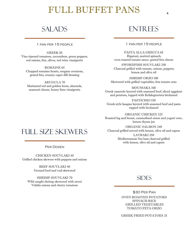### FULL BUFFET PANS

### SALADS

1 pan per 15 people

GREEK 85 Vine ripened tomatoes, cucumbers, green peppers, red onions, feta, olives, red wine vinaigrette

 grated feta, creamy caper dill dressing ROMAINE 65 Chopped romaine hearts, oregano croutons,

ARUGULA 70 Marinated red and golden beets, almonds, manouri cheese, honey lime vinaigrette

### **ENTREES**

1 pan per 15 people

 PASTA ALLA GRECCA 65 Rigatoni, sautéed spinach, oven roasted tomato sauce, grated feta cheese

SWORDFISH SOUVLAKI 250 Charcoal grilled with tomato, onions, peppers, lemon and olive oil

SHRIMP ORZO 180 Skewered with grilled vegetables, feta tomato orzo

MOUSSAKA 160 Greek casserole layered with seasoned beef, sliced eggplant and potatoes, topped with Kefalograviera béchamel

 Greek style lasagna layered with seasoned beef and pasta PASTICHIO 150 topped with bechamel

ORGANIC CHICKEN 225 Roasted leg and breast, caramelized onion and yogurt orzo, lemon thyme jus

 ORGANIC SALMON 240 Charcoal grilled served with lemon, olive oil and capers LAVRAKI 250 Mediterranean Sea bass charcoal grilled with lemon, olive oil and capers

### Full Size Skewers

Per Dozen

 Grilled chicken skewers with peppers and onions CHICKEN SOUVLAKI 40

> Ground beef and veal skewered BEEF SOUVLAKI 40

SHRIMP SOUVLAKI 70 Wild caught shrimp skewered with sweet Vidalia onions and cherry tomatoes

#### **SIDES**

\$30 Per Pan OVEN ROASTED POTATOES SPINACH RICE GRILLED VEGETABLES TOMATO FETA ORZO

GREEK FRIED POTATOES 25